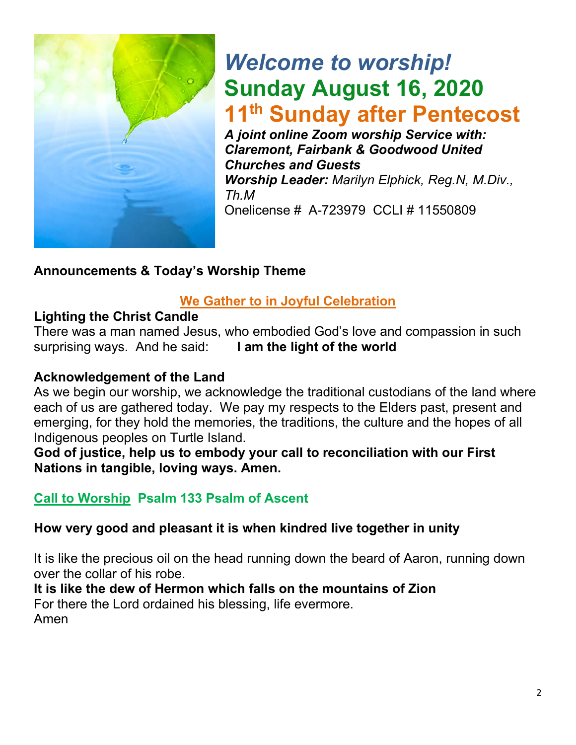

# *Welcome to worship!* **Sunday August 16, 2020 11th Sunday after Pentecost**

*A joint online Zoom worship Service with: Claremont, Fairbank & Goodwood United Churches and Guests Worship Leader: Marilyn Elphick, Reg.N, M.Div., Th.M* Onelicense # A-723979 CCLI # 11550809

# **Announcements & Today's Worship Theme**

# **We Gather to in Joyful Celebration**

# **Lighting the Christ Candle**

There was a man named Jesus, who embodied God's love and compassion in such surprising ways. And he said: **I am the light of the world** 

## **Acknowledgement of the Land**

As we begin our worship, we acknowledge the traditional custodians of the land where each of us are gathered today. We pay my respects to the Elders past, present and emerging, for they hold the memories, the traditions, the culture and the hopes of all Indigenous peoples on Turtle Island.

**God of justice, help us to embody your call to reconciliation with our First Nations in tangible, loving ways. Amen.** 

# **Call to Worship Psalm 133 Psalm of Ascent**

## **How very good and pleasant it is when kindred live together in unity**

It is like the precious oil on the head running down the beard of Aaron, running down over the collar of his robe.

**It is like the dew of Hermon which falls on the mountains of Zion** For there the Lord ordained his blessing, life evermore. Amen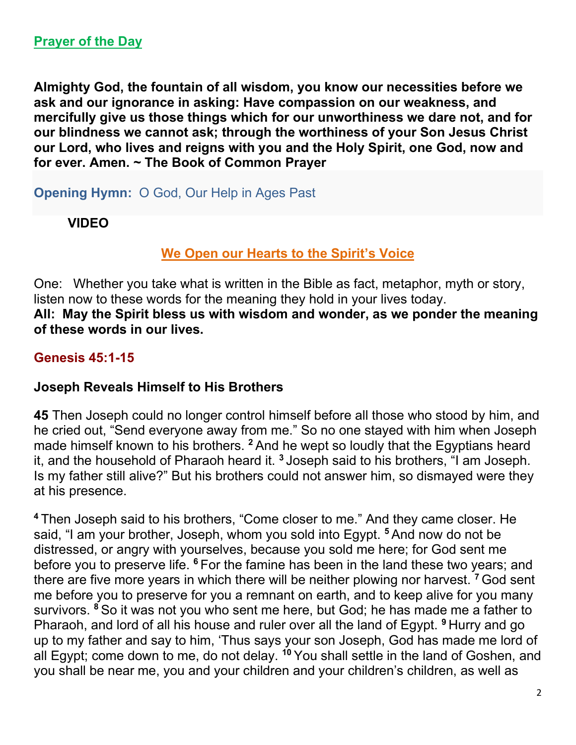**Almighty God, the fountain of all wisdom, you know our necessities before we ask and our ignorance in asking: Have compassion on our weakness, and mercifully give us those things which for our unworthiness we dare not, and for our blindness we cannot ask; through the worthiness of your Son Jesus Christ our Lord, who lives and reigns with you and the Holy Spirit, one God, now and for ever. Amen. ~ The Book of Common Prayer**

**Opening Hymn:** O God, Our Help in Ages Past

**VIDEO**

## **We Open our Hearts to the Spirit's Voice**

One: Whether you take what is written in the Bible as fact, metaphor, myth or story, listen now to these words for the meaning they hold in your lives today. **All: May the Spirit bless us with wisdom and wonder, as we ponder the meaning of these words in our lives.**

## **Genesis 45:1-15**

## **Joseph Reveals Himself to His Brothers**

**45** Then Joseph could no longer control himself before all those who stood by him, and he cried out, "Send everyone away from me." So no one stayed with him when Joseph made himself known to his brothers. **<sup>2</sup>** And he wept so loudly that the Egyptians heard it, and the household of Pharaoh heard it. **<sup>3</sup>** Joseph said to his brothers, "I am Joseph. Is my father still alive?" But his brothers could not answer him, so dismayed were they at his presence.

**<sup>4</sup>** Then Joseph said to his brothers, "Come closer to me." And they came closer. He said, "I am your brother, Joseph, whom you sold into Egypt. **<sup>5</sup>** And now do not be distressed, or angry with yourselves, because you sold me here; for God sent me before you to preserve life. **<sup>6</sup>** For the famine has been in the land these two years; and there are five more years in which there will be neither plowing nor harvest. **<sup>7</sup>** God sent me before you to preserve for you a remnant on earth, and to keep alive for you many survivors. **<sup>8</sup>** So it was not you who sent me here, but God; he has made me a father to Pharaoh, and lord of all his house and ruler over all the land of Egypt. **<sup>9</sup>** Hurry and go up to my father and say to him, 'Thus says your son Joseph, God has made me lord of all Egypt; come down to me, do not delay. **<sup>10</sup>** You shall settle in the land of Goshen, and you shall be near me, you and your children and your children's children, as well as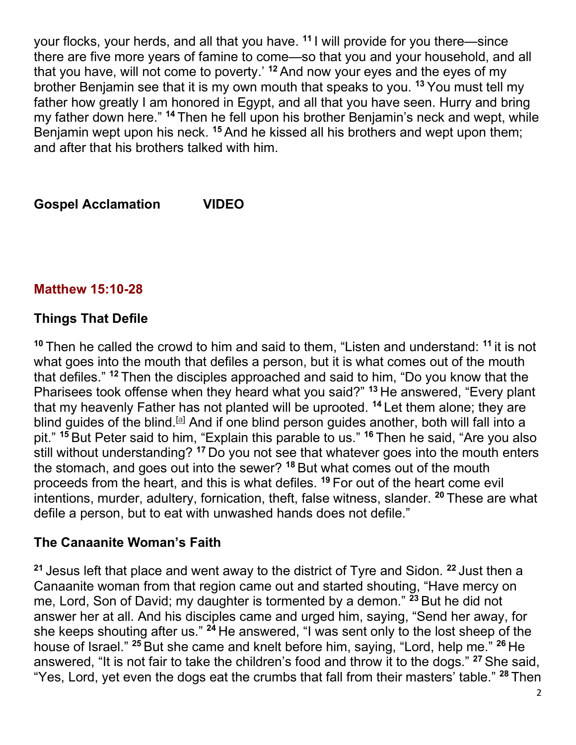your flocks, your herds, and all that you have. **<sup>11</sup>** I will provide for you there—since there are five more years of famine to come—so that you and your household, and all that you have, will not come to poverty.' **<sup>12</sup>** And now your eyes and the eyes of my brother Benjamin see that it is my own mouth that speaks to you. **<sup>13</sup>** You must tell my father how greatly I am honored in Egypt, and all that you have seen. Hurry and bring my father down here." **<sup>14</sup>** Then he fell upon his brother Benjamin's neck and wept, while Benjamin wept upon his neck. **<sup>15</sup>** And he kissed all his brothers and wept upon them; and after that his brothers talked with him.

**Gospel Acclamation VIDEO** 

## **Matthew 15:10-28**

## **Things That Defile**

**<sup>10</sup>** Then he called the crowd to him and said to them, "Listen and understand: **<sup>11</sup>** it is not what goes into the mouth that defiles a person, but it is what comes out of the mouth that defiles." **<sup>12</sup>** Then the disciples approached and said to him, "Do you know that the Pharisees took offense when they heard what you said?" **<sup>13</sup>** He answered, "Every plant that my heavenly Father has not planted will be uprooted. **<sup>14</sup>** Let them alone; they are blind guides of the blind.<sup>[a]</sup> And if one blind person guides another, both will fall into a pit." **<sup>15</sup>** But Peter said to him, "Explain this parable to us." **<sup>16</sup>** Then he said, "Are you also still without understanding? **<sup>17</sup>** Do you not see that whatever goes into the mouth enters the stomach, and goes out into the sewer? **<sup>18</sup>** But what comes out of the mouth proceeds from the heart, and this is what defiles. **<sup>19</sup>** For out of the heart come evil intentions, murder, adultery, fornication, theft, false witness, slander. **<sup>20</sup>** These are what defile a person, but to eat with unwashed hands does not defile."

#### **The Canaanite Woman's Faith**

**<sup>21</sup>** Jesus left that place and went away to the district of Tyre and Sidon. **<sup>22</sup>** Just then a Canaanite woman from that region came out and started shouting, "Have mercy on me, Lord, Son of David; my daughter is tormented by a demon." **<sup>23</sup>** But he did not answer her at all. And his disciples came and urged him, saying, "Send her away, for she keeps shouting after us." **<sup>24</sup>** He answered, "I was sent only to the lost sheep of the house of Israel." **<sup>25</sup>** But she came and knelt before him, saying, "Lord, help me." **<sup>26</sup>** He answered, "It is not fair to take the children's food and throw it to the dogs." **<sup>27</sup>** She said, "Yes, Lord, yet even the dogs eat the crumbs that fall from their masters' table." **<sup>28</sup>** Then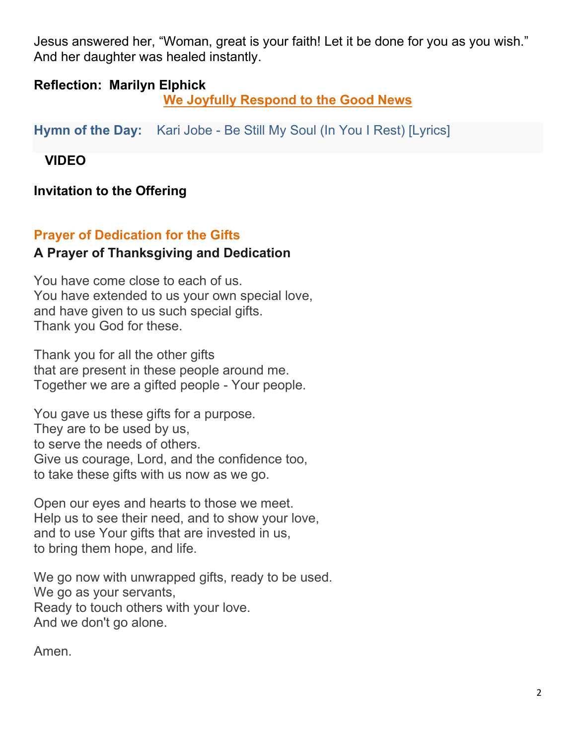Jesus answered her, "Woman, great is your faith! Let it be done for you as you wish." And her daughter was healed instantly.

## **Reflection: Marilyn Elphick**

**We Joyfully Respond to the Good News**

**Hymn of the Day:** Kari Jobe - Be Still My Soul (In You I Rest) [Lyrics]

 **VIDEO** 

**Invitation to the Offering**

# **Prayer of Dedication for the Gifts A Prayer of Thanksgiving and Dedication**

You have come close to each of us. You have extended to us your own special love, and have given to us such special gifts. Thank you God for these.

Thank you for all the other gifts that are present in these people around me. Together we are a gifted people - Your people.

You gave us these gifts for a purpose. They are to be used by us, to serve the needs of others. Give us courage, Lord, and the confidence too, to take these gifts with us now as we go.

Open our eyes and hearts to those we meet. Help us to see their need, and to show your love, and to use Your gifts that are invested in us, to bring them hope, and life.

We go now with unwrapped gifts, ready to be used. We go as your servants, Ready to touch others with your love. And we don't go alone.

Amen.